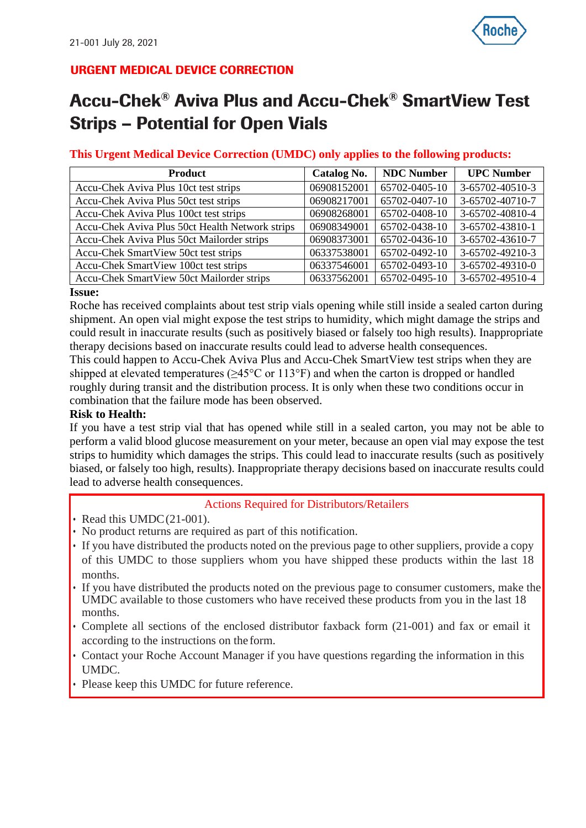# URGENT MEDICAL DEVICE CORRECTION

# Accu-Chek® Aviva Plus and Accu-Chek® SmartView Test Strips – Potential for Open Vials

### **This Urgent Medical Device Correction (UMDC) only applies to the following products:**

| <b>Product</b>                                   | Catalog No. | <b>NDC Number</b> | <b>UPC Number</b> |
|--------------------------------------------------|-------------|-------------------|-------------------|
| Accu-Chek Aviva Plus 10ct test strips            | 06908152001 | 65702-0405-10     | 3-65702-40510-3   |
| Accu-Chek Aviva Plus 50ct test strips            | 06908217001 | 65702-0407-10     | 3-65702-40710-7   |
| Accu-Chek Aviva Plus 100ct test strips           | 06908268001 | 65702-0408-10     | 3-65702-40810-4   |
| Accu-Chek Aviva Plus 50ct Health Network strips  | 06908349001 | 65702-0438-10     | 3-65702-43810-1   |
| Accu-Chek Aviva Plus 50ct Mailorder strips       | 06908373001 | 65702-0436-10     | 3-65702-43610-7   |
| Accu-Chek SmartView 50ct test strips             | 06337538001 | 65702-0492-10     | 3-65702-49210-3   |
| Accu-Chek SmartView 100ct test strips            | 06337546001 | 65702-0493-10     | 3-65702-49310-0   |
| <b>Accu-Chek SmartView 50ct Mailorder strips</b> | 06337562001 | 65702-0495-10     | 3-65702-49510-4   |

#### **Issue:**

Roche has received complaints about test strip vials opening while still inside a sealed carton during shipment. An open vial might expose the test strips to humidity, which might damage the strips and could result in inaccurate results (such as positively biased or falsely too high results). Inappropriate therapy decisions based on inaccurate results could lead to adverse health consequences.

This could happen to Accu-Chek Aviva Plus and Accu-Chek SmartView test strips when they are shipped at elevated temperatures ( $\geq$ 45°C or 113°F) and when the carton is dropped or handled roughly during transit and the distribution process. It is only when these two conditions occur in combination that the failure mode has been observed.

#### **Risk to Health:**

If you have a test strip vial that has opened while still in a sealed carton, you may not be able to perform a valid blood glucose measurement on your meter, because an open vial may expose the test strips to humidity which damages the strips. This could lead to inaccurate results (such as positively biased, or falsely too high, results). Inappropriate therapy decisions based on inaccurate results could lead to adverse health consequences.

#### Actions Required for Distributors/Retailers

- Read this UMDC(21-001).
- No product returns are required as part of this notification.
- If you have distributed the products noted on the previous page to other suppliers, provide a copy of this UMDC to those suppliers whom you have shipped these products within the last 18 months.
- If you have distributed the products noted on the previous page to consumer customers, make the UMDC available to those customers who have received these products from you in the last 18 months.
- Complete all sections of the enclosed distributor faxback form (21-001) and fax or email it according to the instructions on the form.
- Contact your Roche Account Manager if you have questions regarding the information in this UMDC.
- Please keep this UMDC for future reference.